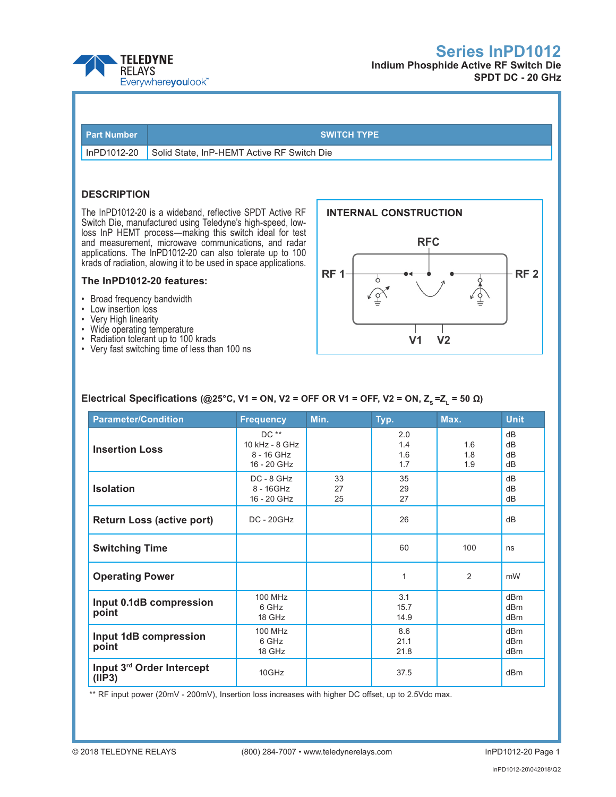



# **SPDT DC - 20 GHz**

| <b>Part Number</b> |
|--------------------|
|--------------------|

#### **SWITCH TYPE**

InPD1012-20 Solid State, InP-HEMT Active RF Switch Die

## **DESCRIPTION**

The InPD1012-20 is a wideband, reflective SPDT Active RF Switch Die, manufactured using Teledyne's high-speed, lowloss InP HEMT process—making this switch ideal for test and measurement, microwave communications, and radar applications. The InPD1012-20 can also tolerate up to 100 krads of radiation, alowing it to be used in space applications.

### **The InPD1012-20 features:**

- • Broad frequency bandwidth
- • Low insertion loss
- • Very High linearity
- Wide operating temperature
- Radiation tolerant up to 100 krads
- Very fast switching time of less than 100 ns



## **Electrical Specifications (@25°C, V1 = ON, V2 = OFF OR V1 = OFF, V2 = ON, Z<sub>s</sub> = Z<sub>1</sub> = 50 Ω)**

| <b>Parameter/Condition</b>                                                                                   | <b>Frequency</b>                                      | Min.           | Typ.                     | Max.              | <b>Unit</b>                               |
|--------------------------------------------------------------------------------------------------------------|-------------------------------------------------------|----------------|--------------------------|-------------------|-------------------------------------------|
| <b>Insertion Loss</b>                                                                                        | $DC**$<br>10 kHz - 8 GHz<br>8 - 16 GHz<br>16 - 20 GHz |                | 2.0<br>1.4<br>1.6<br>1.7 | 1.6<br>1.8<br>1.9 | dB<br>dB<br>dB<br>dB                      |
| <b>Isolation</b>                                                                                             | DC - 8 GHz<br>8 - 16GHz<br>16 - 20 GHz                | 33<br>27<br>25 | 35<br>29<br>27           |                   | dB<br>dB<br>dB                            |
| <b>Return Loss (active port)</b>                                                                             | <b>DC - 20GHz</b>                                     |                | 26                       |                   | dB                                        |
| <b>Switching Time</b>                                                                                        |                                                       |                | 60                       | 100               | ns                                        |
| <b>Operating Power</b>                                                                                       |                                                       |                | 1                        | 2                 | mW                                        |
| Input 0.1dB compression<br>point                                                                             | 100 MHz<br>6 GHz<br>18 GHz                            |                | 3.1<br>15.7<br>14.9      |                   | dB <sub>m</sub><br>dBm<br>d <sub>Bm</sub> |
| 100 MHz<br>Input 1dB compression<br>6 GHz<br>point<br>18 GHz<br>Input 3rd Order Intercept<br>10GHz<br>(IIP3) |                                                       |                | 8.6<br>21.1<br>21.8      |                   | dBm<br>dBm<br>dBm                         |
|                                                                                                              |                                                       |                | 37.5                     |                   | dBm                                       |

\*\* RF input power (20mV - 200mV), Insertion loss increases with higher DC offset, up to 2.5Vdc max.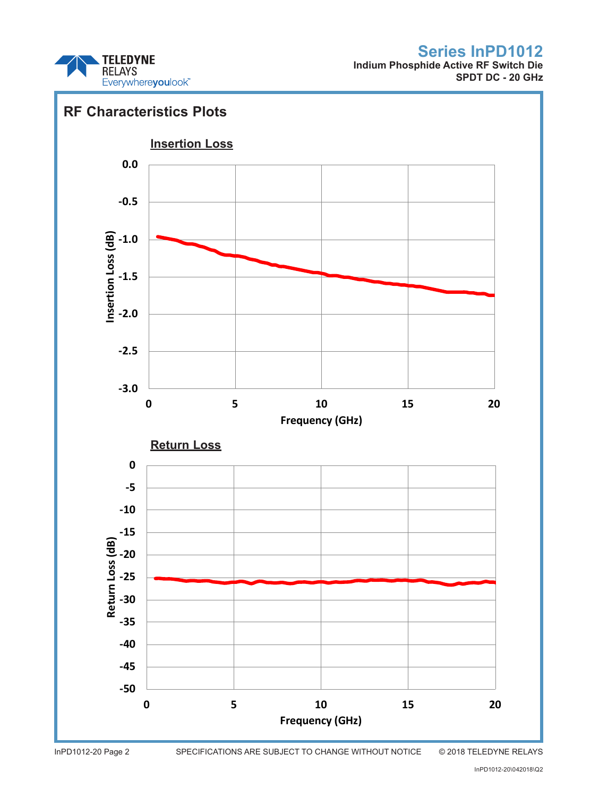

**Indium Phosphide Active RF Switch Die SPDT DC - 20 GHz**

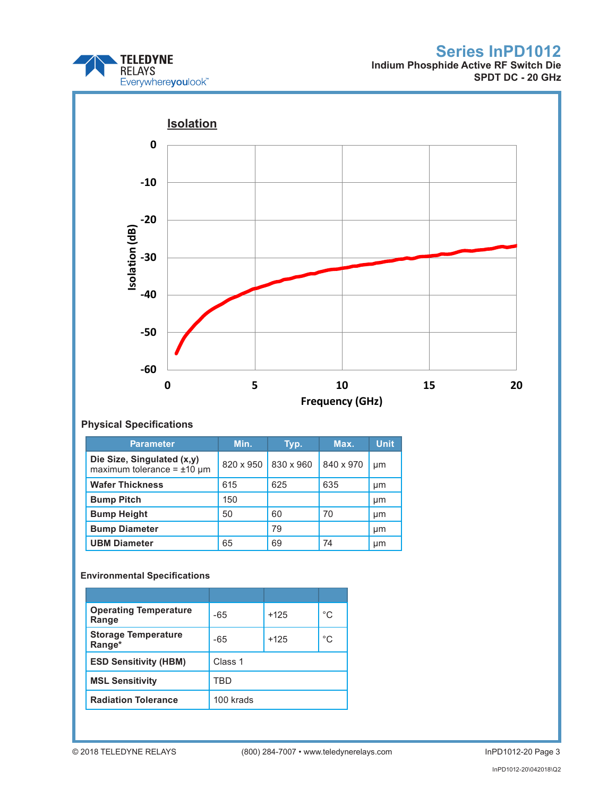

**Indium Phosphide Active RF Switch Die SPDT DC - 20 GHz**



## **Physical Specifications**

| <b>Parameter</b>                                                 | Min.      | Typ.      | Max.      | <b>Unit</b> |
|------------------------------------------------------------------|-----------|-----------|-----------|-------------|
| Die Size, Singulated (x,y)<br>maximum tolerance = $\pm 10 \mu$ m | 820 x 950 | 830 x 960 | 840 x 970 | µm          |
| <b>Wafer Thickness</b>                                           | 615       | 625       | 635       | μm          |
| <b>Bump Pitch</b>                                                | 150       |           |           | μm          |
| <b>Bump Height</b>                                               | 50        | 60        | 70        | µm          |
| <b>Bump Diameter</b>                                             |           | 79        |           | µm          |
| <b>UBM Diameter</b>                                              | 65        | 69        | 74        | µm          |

## **Environmental Specifications**

| <b>Operating Temperature</b><br>Range | -65       | $+125$ | °C |
|---------------------------------------|-----------|--------|----|
| <b>Storage Temperature</b><br>Range*  | $-65$     | $+125$ | °C |
| <b>ESD Sensitivity (HBM)</b>          | Class 1   |        |    |
| <b>MSL Sensitivity</b>                | TRD       |        |    |
| <b>Radiation Tolerance</b>            | 100 krads |        |    |